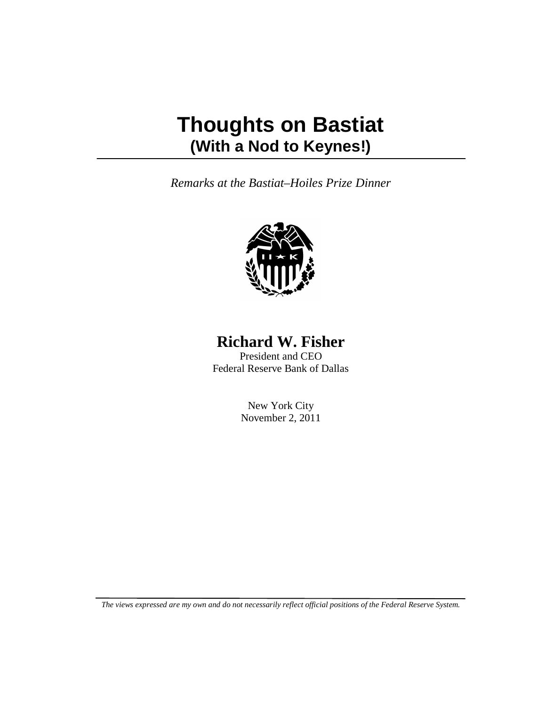# **Thoughts on Bastiat (With a Nod to Keynes!)**

*Remarks at the Bastiat–Hoiles Prize Dinner*



## **Richard W. Fisher**

President and CEO Federal Reserve Bank of Dallas

> New York City November 2, 2011

*The views expressed are my own and do not necessarily reflect official positions of the Federal Reserve System.*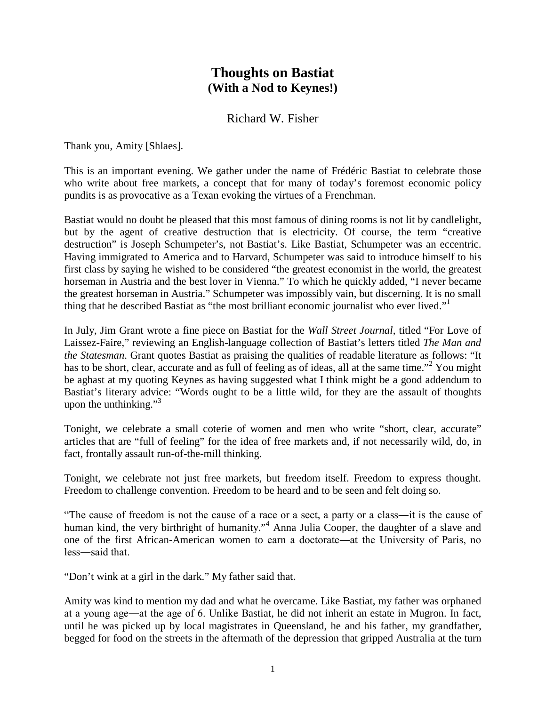## **Thoughts on Bastiat (With a Nod to Keynes!)**

### Richard W. Fisher

Thank you, Amity [Shlaes].

This is an important evening. We gather under the name of Frédéric Bastiat to celebrate those who write about free markets, a concept that for many of today's foremost economic policy pundits is as provocative as a Texan evoking the virtues of a Frenchman.

Bastiat would no doubt be pleased that this most famous of dining rooms is not lit by candlelight, but by the agent of creative destruction that is electricity. Of course, the term "creative destruction" is Joseph Schumpeter's, not Bastiat's. Like Bastiat, Schumpeter was an eccentric. Having immigrated to America and to Harvard, Schumpeter was said to introduce himself to his first class by saying he wished to be considered "the greatest economist in the world, the greatest horseman in Austria and the best lover in Vienna." To which he quickly added, "I never became the greatest horseman in Austria." Schumpeter was impossibly vain, but discerning. It is no small thing that he described Bastiat as "the most brilliant economic journalist who ever lived."

In July, Jim Grant wrote a fine piece on Bastiat for the *Wall Street Journal*, titled "For Love of Laissez-Faire," reviewing an English-language collection of Bastiat's letters titled *The Man and the Statesman*. Grant quotes Bastiat as praising the qualities of readable literature as follows: "It has to be short, clear, accurate and as full of feeling as of ideas, all at the same time."<sup>2</sup> You might be aghast at my quoting Keynes as having suggested what I think might be a good addendum to Bastiat's literary advice: "Words ought to be a little wild, for they are the assault of thoughts upon the unthinking." $3^3$ 

Tonight, we celebrate a small coterie of women and men who write "short, clear, accurate" articles that are "full of feeling" for the idea of free markets and, if not necessarily wild, do, in fact, frontally assault run-of-the-mill thinking.

Tonight, we celebrate not just free markets, but freedom itself. Freedom to express thought. Freedom to challenge convention. Freedom to be heard and to be seen and felt doing so.

"The cause of freedom is not the cause of a race or a sect, a party or a class―it is the cause of human kind, the very birthright of humanity."<sup>4</sup> Anna Julia Cooper, the daughter of a slave and one of the first African-American women to earn a doctorate―at the University of Paris, no less―said that.

"Don't wink at a girl in the dark." My father said that.

Amity was kind to mention my dad and what he overcame. Like Bastiat, my father was orphaned at a young age―at the age of 6. Unlike Bastiat, he did not inherit an estate in Mugron. In fact, until he was picked up by local magistrates in Queensland, he and his father, my grandfather, begged for food on the streets in the aftermath of the depression that gripped Australia at the turn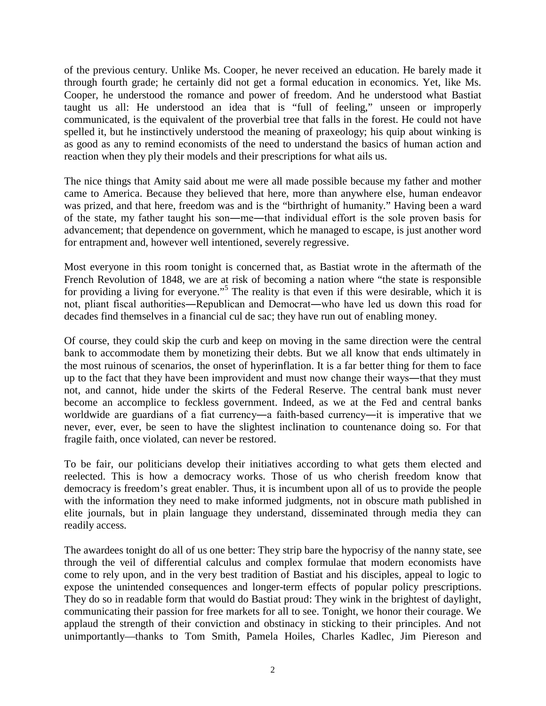of the previous century. Unlike Ms. Cooper, he never received an education. He barely made it through fourth grade; he certainly did not get a formal education in economics. Yet, like Ms. Cooper, he understood the romance and power of freedom. And he understood what Bastiat taught us all: He understood an idea that is "full of feeling," unseen or improperly communicated, is the equivalent of the proverbial tree that falls in the forest. He could not have spelled it, but he instinctively understood the meaning of praxeology; his quip about winking is as good as any to remind economists of the need to understand the basics of human action and reaction when they ply their models and their prescriptions for what ails us.

The nice things that Amity said about me were all made possible because my father and mother came to America. Because they believed that here, more than anywhere else, human endeavor was prized, and that here, freedom was and is the "birthright of humanity." Having been a ward of the state, my father taught his son―me―that individual effort is the sole proven basis for advancement; that dependence on government, which he managed to escape, is just another word for entrapment and, however well intentioned, severely regressive.

Most everyone in this room tonight is concerned that, as Bastiat wrote in the aftermath of the French Revolution of 1848, we are at risk of becoming a nation where "the state is responsible for providing a living for everyone."<sup>5</sup> The reality is that even if this were desirable, which it is not, pliant fiscal authorities―Republican and Democrat―who have led us down this road for decades find themselves in a financial cul de sac; they have run out of enabling money.

Of course, they could skip the curb and keep on moving in the same direction were the central bank to accommodate them by monetizing their debts. But we all know that ends ultimately in the most ruinous of scenarios, the onset of hyperinflation. It is a far better thing for them to face up to the fact that they have been improvident and must now change their ways―that they must not, and cannot, hide under the skirts of the Federal Reserve. The central bank must never become an accomplice to feckless government. Indeed, as we at the Fed and central banks worldwide are guardians of a fiat currency―a faith-based currency―it is imperative that we never, ever, ever, be seen to have the slightest inclination to countenance doing so. For that fragile faith, once violated, can never be restored.

To be fair, our politicians develop their initiatives according to what gets them elected and reelected. This is how a democracy works. Those of us who cherish freedom know that democracy is freedom's great enabler. Thus, it is incumbent upon all of us to provide the people with the information they need to make informed judgments, not in obscure math published in elite journals, but in plain language they understand, disseminated through media they can readily access.

The awardees tonight do all of us one better: They strip bare the hypocrisy of the nanny state, see through the veil of differential calculus and complex formulae that modern economists have come to rely upon, and in the very best tradition of Bastiat and his disciples, appeal to logic to expose the unintended consequences and longer-term effects of popular policy prescriptions. They do so in readable form that would do Bastiat proud: They wink in the brightest of daylight, communicating their passion for free markets for all to see. Tonight, we honor their courage. We applaud the strength of their conviction and obstinacy in sticking to their principles. And not unimportantly—thanks to Tom Smith, Pamela Hoiles, Charles Kadlec, Jim Piereson and